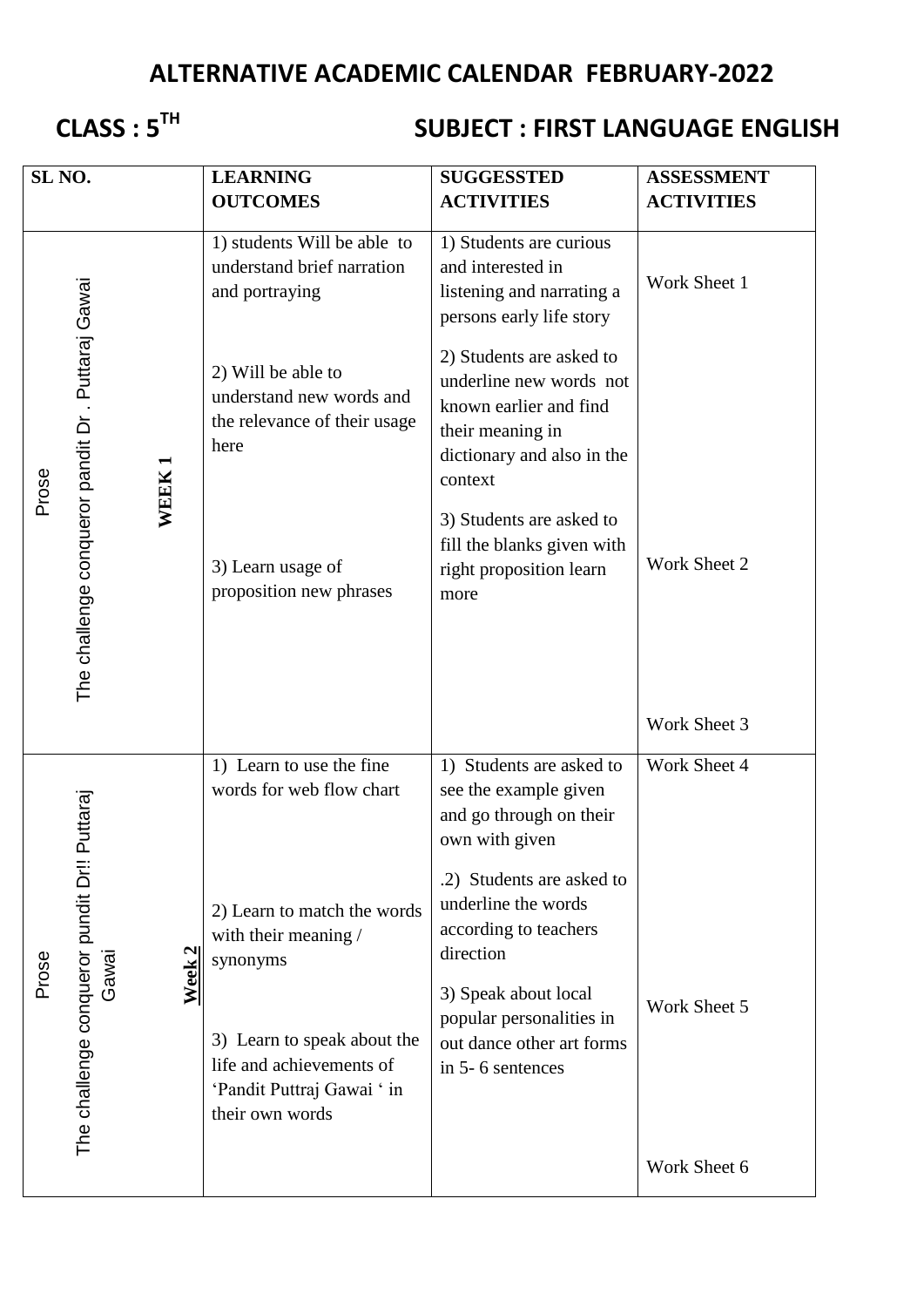## **ALTERNATIVE ACADEMIC CALENDAR FEBRUARY-2022**

# **CLASS : 5TH**

### **SUBJECT : FIRST LANGUAGE ENGLISH**

| SL <sub>NO.</sub> |                                                          |           | <b>LEARNING</b><br><b>OUTCOMES</b>                                                                       | <b>SUGGESSTED</b><br><b>ACTIVITIES</b>                                                                                                     | <b>ASSESSMENT</b><br><b>ACTIVITIES</b> |
|-------------------|----------------------------------------------------------|-----------|----------------------------------------------------------------------------------------------------------|--------------------------------------------------------------------------------------------------------------------------------------------|----------------------------------------|
| Prose             | The challenge conqueror pandit Dr. Puttaraj Gawai        | WEEK1     | 1) students Will be able to<br>understand brief narration<br>and portraying                              | 1) Students are curious<br>and interested in<br>listening and narrating a<br>persons early life story                                      | Work Sheet 1                           |
|                   |                                                          |           | 2) Will be able to<br>understand new words and<br>the relevance of their usage<br>here                   | 2) Students are asked to<br>underline new words not<br>known earlier and find<br>their meaning in<br>dictionary and also in the<br>context |                                        |
|                   |                                                          |           | 3) Learn usage of<br>proposition new phrases                                                             | 3) Students are asked to<br>fill the blanks given with<br>right proposition learn<br>more                                                  | Work Sheet 2                           |
|                   |                                                          |           |                                                                                                          |                                                                                                                                            | Work Sheet 3                           |
| Prose             | Puttaraj<br>The challenge conqueror pundit Dr!!<br>Gawai | 2<br>Week | 1) Learn to use the fine<br>words for web flow chart                                                     | 1) Students are asked to<br>see the example given<br>and go through on their<br>own with given                                             | Work Sheet 4                           |
|                   |                                                          |           | 2) Learn to match the words<br>with their meaning /<br>synonyms                                          | .2) Students are asked to<br>underline the words<br>according to teachers<br>direction                                                     |                                        |
|                   |                                                          |           | 3) Learn to speak about the<br>life and achievements of<br>'Pandit Puttraj Gawai ' in<br>their own words | 3) Speak about local<br>popular personalities in<br>out dance other art forms<br>in 5-6 sentences                                          | Work Sheet 5                           |
|                   |                                                          |           |                                                                                                          |                                                                                                                                            | Work Sheet 6                           |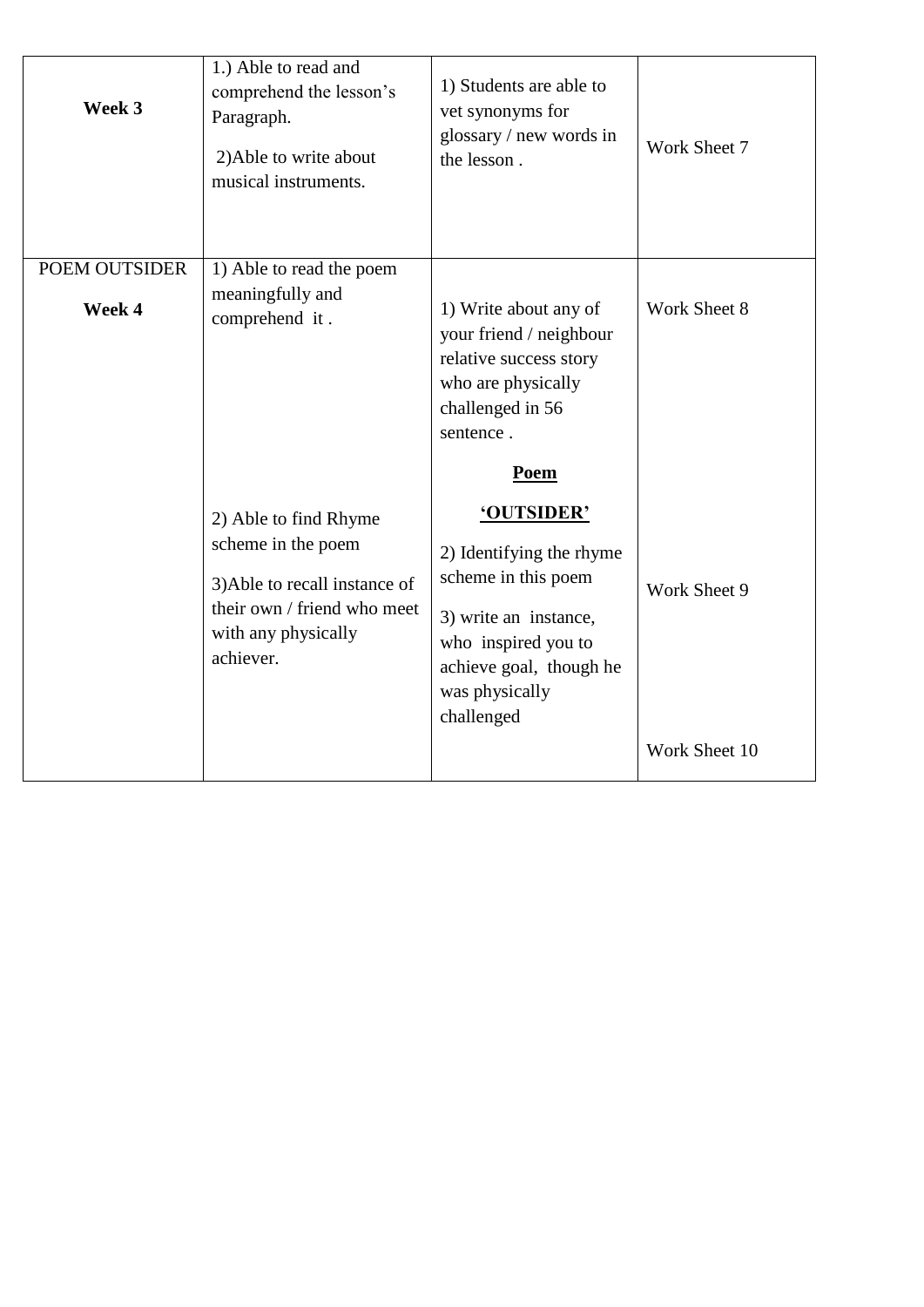| Week 3        | 1.) Able to read and<br>comprehend the lesson's<br>Paragraph.<br>2) Able to write about<br>musical instruments.                                 | 1) Students are able to<br>vet synonyms for<br>glossary / new words in<br>the lesson.                                                                                    | Work Sheet 7  |
|---------------|-------------------------------------------------------------------------------------------------------------------------------------------------|--------------------------------------------------------------------------------------------------------------------------------------------------------------------------|---------------|
| POEM OUTSIDER | 1) Able to read the poem                                                                                                                        |                                                                                                                                                                          |               |
| Week 4        | meaningfully and<br>comprehend it.                                                                                                              | 1) Write about any of<br>your friend / neighbour<br>relative success story<br>who are physically<br>challenged in 56<br>sentence.                                        | Work Sheet 8  |
|               |                                                                                                                                                 | Poem                                                                                                                                                                     |               |
|               | 2) Able to find Rhyme<br>scheme in the poem<br>3) Able to recall instance of<br>their own / friend who meet<br>with any physically<br>achiever. | 'OUTSIDER'<br>2) Identifying the rhyme<br>scheme in this poem<br>3) write an instance,<br>who inspired you to<br>achieve goal, though he<br>was physically<br>challenged | Work Sheet 9  |
|               |                                                                                                                                                 |                                                                                                                                                                          | Work Sheet 10 |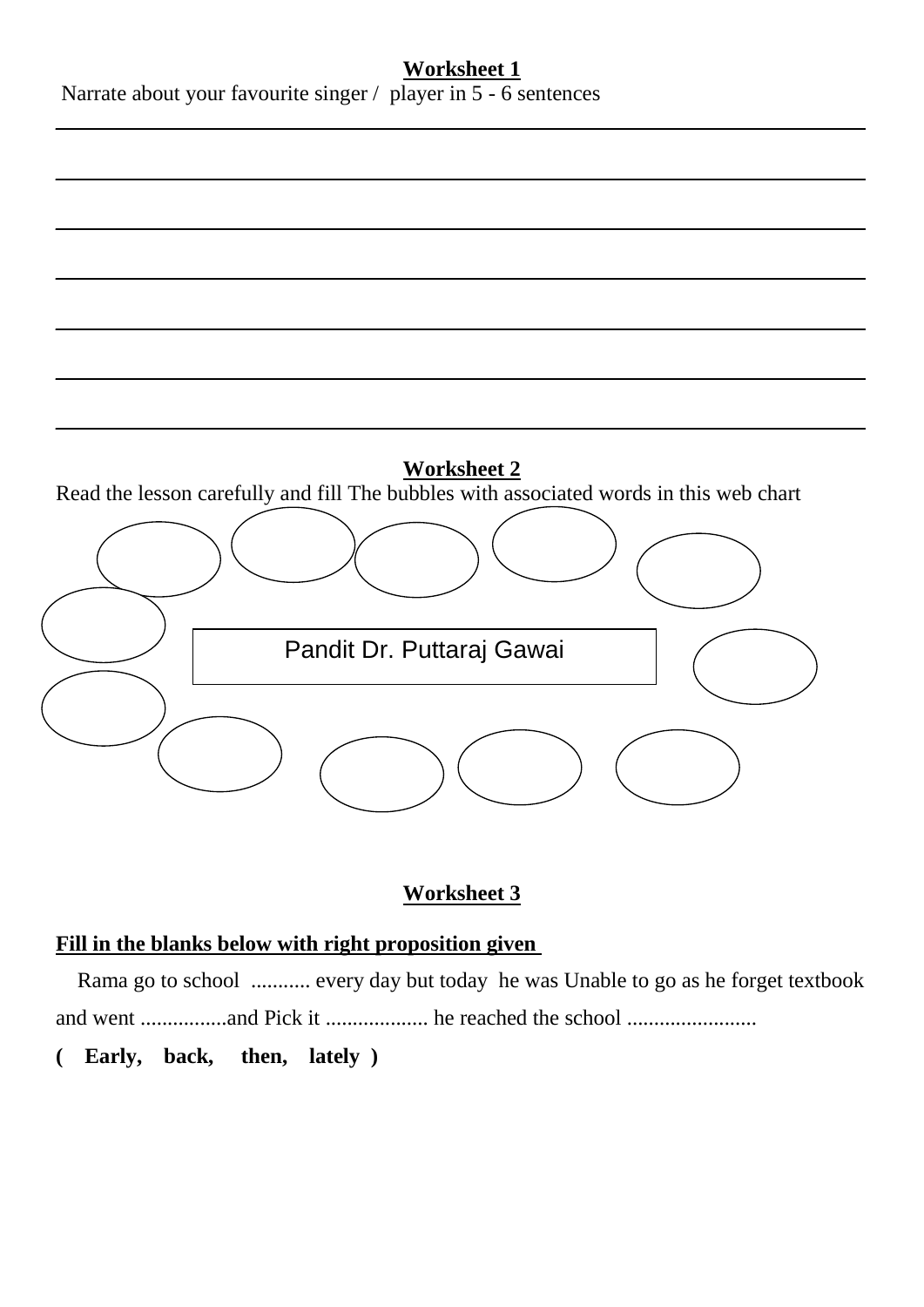#### **Worksheet 1**

Narrate about your favourite singer / player in 5 - 6 sentences



#### **Worksheet 3**

#### **Fill in the blanks below with right proposition given**

 Rama go to school ........... every day but today he was Unable to go as he forget textbook and went ................and Pick it ................... he reached the school ........................

**( Early, back, then, lately )**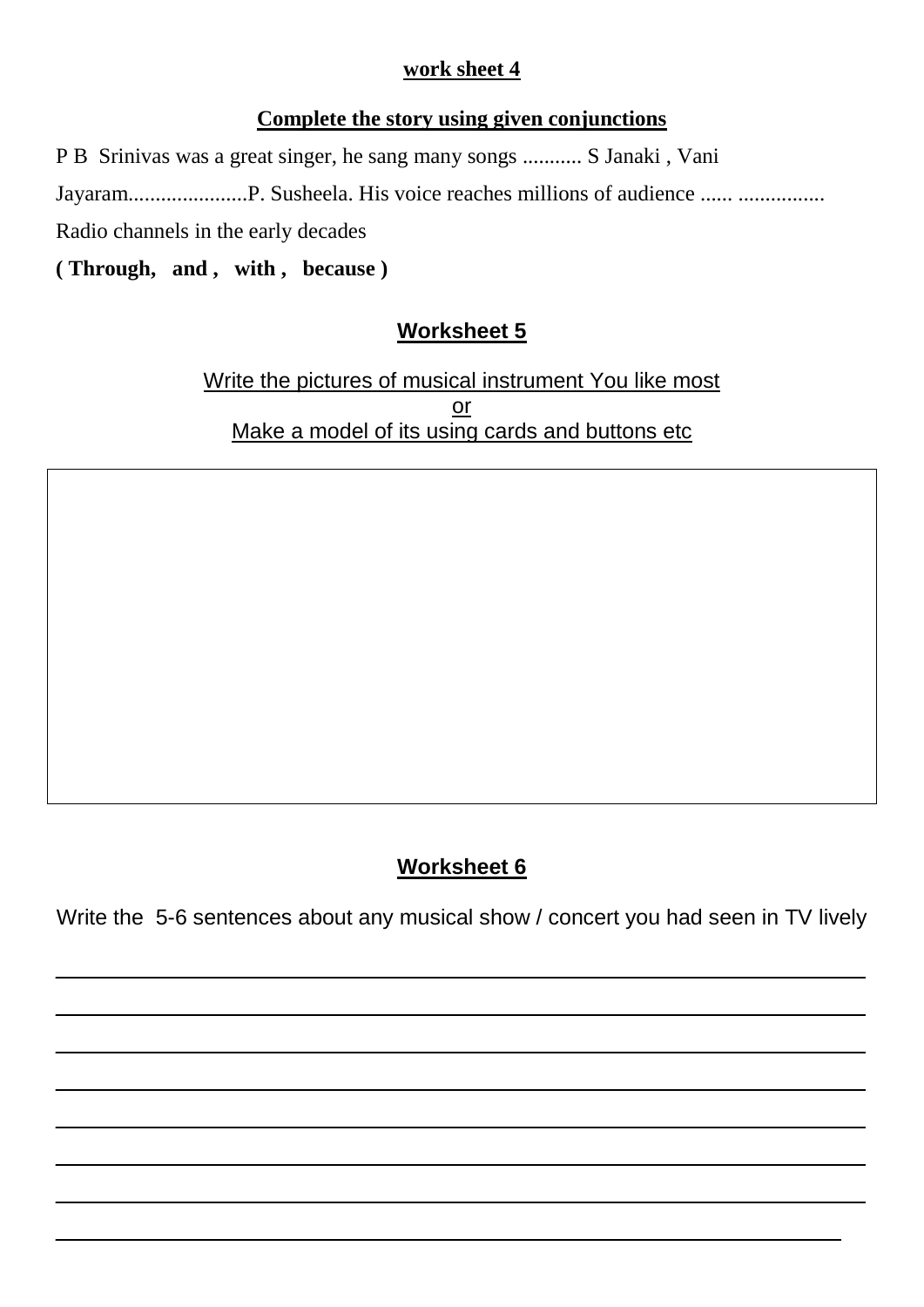#### **work sheet 4**

#### **Complete the story using given conjunctions**

P B Srinivas was a great singer, he sang many songs ........... S Janaki , Vani

Jayaram......................P. Susheela. His voice reaches millions of audience ...... ................

Radio channels in the early decades

**( Through, and , with , because )**

### **Worksheet 5**

Write the pictures of musical instrument You like most or Make a model of its using cards and buttons etc

### **Worksheet 6**

Write the 5-6 sentences about any musical show / concert you had seen in TV lively

 $\_$  , and the set of the set of the set of the set of the set of the set of the set of the set of the set of the set of the set of the set of the set of the set of the set of the set of the set of the set of the set of th

 $\_$  . The contribution of the contribution of  $\mathcal{L}_1$  ,  $\mathcal{L}_2$  ,  $\mathcal{L}_3$  ,  $\mathcal{L}_4$  ,  $\mathcal{L}_5$  ,  $\mathcal{L}_6$  ,  $\mathcal{L}_7$  ,  $\mathcal{L}_8$  ,  $\mathcal{L}_9$  ,  $\mathcal{L}_1$  ,  $\mathcal{L}_2$  ,  $\mathcal{L}_3$  ,  $\mathcal{L}_5$  ,  $\mathcal{L}_6$  ,  $\mathcal{L}_$ 

\_\_\_\_\_\_\_\_\_\_\_\_\_\_\_\_\_\_\_\_\_\_\_\_\_\_\_\_\_\_\_\_\_\_\_\_\_\_\_\_\_\_\_\_\_\_\_\_\_\_\_\_\_\_\_\_\_\_\_\_\_\_\_\_\_\_\_

 $\_$  , and the set of the set of the set of the set of the set of the set of the set of the set of the set of the set of the set of the set of the set of the set of the set of the set of the set of the set of the set of th

\_\_\_\_\_\_\_\_\_\_\_\_\_\_\_\_\_\_\_\_\_\_\_\_\_\_\_\_\_\_\_\_\_\_\_\_\_\_\_\_\_\_\_\_\_\_\_\_\_\_\_\_\_\_\_\_\_\_\_\_\_\_\_\_\_\_\_

 $\_$  . The contribution of the contribution of  $\mathcal{L}_1$  ,  $\mathcal{L}_2$  ,  $\mathcal{L}_3$  ,  $\mathcal{L}_4$  ,  $\mathcal{L}_5$  ,  $\mathcal{L}_6$  ,  $\mathcal{L}_7$  ,  $\mathcal{L}_8$  ,  $\mathcal{L}_9$  ,  $\mathcal{L}_1$  ,  $\mathcal{L}_2$  ,  $\mathcal{L}_3$  ,  $\mathcal{L}_5$  ,  $\mathcal{L}_6$  ,  $\mathcal{L}_$ 

 $\_$  . The contribution of the contribution of  $\mathcal{L}_1$  ,  $\mathcal{L}_2$  ,  $\mathcal{L}_3$  ,  $\mathcal{L}_4$  ,  $\mathcal{L}_5$  ,  $\mathcal{L}_6$  ,  $\mathcal{L}_7$  ,  $\mathcal{L}_8$  ,  $\mathcal{L}_9$  ,  $\mathcal{L}_1$  ,  $\mathcal{L}_2$  ,  $\mathcal{L}_3$  ,  $\mathcal{L}_5$  ,  $\mathcal{L}_7$  ,  $\mathcal{L}_$ 

\_\_\_\_\_\_\_\_\_\_\_\_\_\_\_\_\_\_\_\_\_\_\_\_\_\_\_\_\_\_\_\_\_\_\_\_\_\_\_\_\_\_\_\_\_\_\_\_\_\_\_\_\_\_\_\_\_\_\_\_\_\_\_\_\_